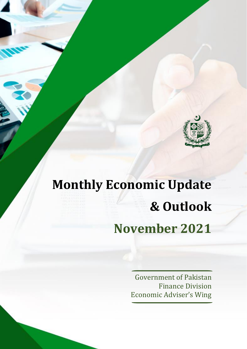

# **Monthly Economic Update & Outlook November 2021**

Government of Pakistan Finance Division Economic Adviser's Wing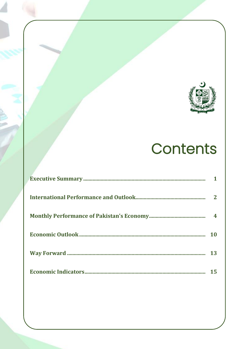

# Contents

| 10 |
|----|
| 13 |
| 15 |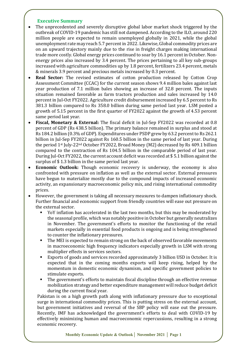#### **Executive Summary**

- The unprecedented and severely disruptive global labor market shock triggered by the outbreak of COVID-19 pandemic has still not dampened. According to the ILO, around 220 million people are expected to remain unemployed globally in 2021, while the global unemployment rate may reach 5.7 percent in 2022. Likewise, Global commodity prices are on an upward trajectory mainly due to the rise in freight charges making international trade more costly. Global energy prices continued to soar by 16.1 percent in October. Nonenergy prices also increased by 3.4 percent. The prices pertaining to all key sub-groups increased with agriculture commodities up by 1.8 percent, fertilizers 23.4 percent, metals & minerals 3.9 percent and precious metals increased by 0.3 percent.
- **Real Sector:** The revised estimates of cotton production released by Cotton Crop Assessment Committee (CCAC) for the current season shows 9.4 million bales against last year production of 7.1 million bales showing an increase of 32.8 percent. The inputs situation remained favorable as farm tractors production and sales increased by 14.0 percent in Jul-Oct FY2022. Agriculture credit disbursement increased by 6.5 percent to Rs 381.3 billion compared to Rs 358.0 billion during same period last year. LSM posted a growth of 5.15 percent in the first quarter of FY2022 against the growth of 4.53 percent same period last year.
- **Fiscal, Monetary & External:** The fiscal deficit in Jul-Sep FY2022 was recorded at 0.8 percent of GDP (Rs 438.5 billion). The primary balance remained in surplus and stood at Rs 184.2 billion (0.3% of GDP). Expenditures under PSDP grew by 63.2 percent to Rs 262.1 billion in Jul-Sep FY2022 against Rs 160.5 billion in the same period of last year. During the period 1st July-22nd October FY2022, Broad Money (M2) decreased by Rs 409.1 billion compared to the contraction of Rs 104.5 billion in the comparable period of last year. During Jul-Oct FY2022, the current account deficit was recorded at \$ 5.1 billion against the surplus of \$ 1.3 billion in the same period last year.
- **Economic Outlook:** Though economic recovery is underway, the economy is also confronted with pressure on inflation as well as the external sector. External pressures have begun to materialize mostly due to the compound impacts of increased economic activity, an expansionary macroeconomic policy mix, and rising international commodity prices.
- However, the government is taking all necessary measures to dampen inflationary shock. Further financial and economic support from friendly countries will ease out pressure on the external sector.
	- YoY inflation has accelerated in the last two months, but this may be moderated by the seasonal profile, which was notably positive in October but generally neutralizes in November. The government's efforts to monitor the functioning of the retail markets especially in essential food products is ongoing and is being strengthened to counter the inflationary pressures.
	- The MEI is expected to remain strong on the back of observed favorable movements in macroeconomic high frequency indicators especially growth in LSM with strong multiplier effects in services sectors.
	- Exports of goods and services recorded approximately 3 billion USD in October. It is expected that in the coming months exports will keep rising, helped by the momentum in domestic economic dynamism, and specific government policies to stimulate exports.
	- The government's efforts to maintain fiscal discipline through an effective revenue mobilization strategy and better expenditure management will reduce budget deficit during the current fiscal year.

Pakistan is on a high growth path along with inflationary pressure due to exceptional surge in international commodity prices. This is putting stress on the external account, but government initiatives and reversal of the SBP policy will ease out the pressure. Recently, IMF has acknowledged the government's efforts to deal with COVID-19 by effectively minimizing human and macroeconomic repercussions, resulting in a strong economic recovery.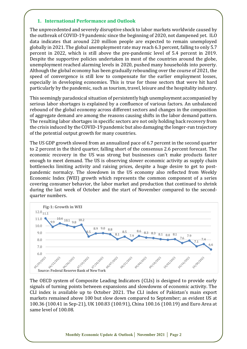# **1. International Performance and Outlook**

The unprecedented and severely disruptive shock to labor markets worldwide caused by the outbreak of COVID-19 pandemic since the beginning of 2020, not dampened yet. ILO data indicates that around 220 million people are expected to remain unemployed globally in 2021. The global unemployment rate may reach 6.3 percent, falling to only 5.7 percent in 2022, which is still above the pre-pandemic level of 5.4 percent in 2019. Despite the supportive policies undertaken in most of the countries around the globe, unemployment reached alarming levels in 2020, pushed many households into poverty. Although the global economy has been gradually rebounding over the course of 2021, the speed of convergence is still low to compensate for the earlier employment losses, especially in developing economies. This is true for those sectors that were hit hard particularly by the pandemic, such as tourism, travel, leisure and the hospitality industry.

This seemingly paradoxical situation of persistently high unemployment accompanied by serious labor shortages is explained by a confluence of various factors. An unbalanced rebound of the global economy across different sectors and changes in the composition of aggregate demand are among the reasons causing shifts in the labor demand pattern. The resulting labor shortages in specific sectors are not only holding back recovery from the crisis induced by the COVID-19 pandemic but also damaging the longer-run trajectory of the potential output growth for many countries.

The US GDP growth slowed from an annualized pace of 6.7 percent in the second quarter to 2 percent in the third quarter, falling short of the consensus 2.6 percent forecast. The economic recovery in the US was strong but businesses can't make products faster enough to meet demand. The US is observing slower economic activity as supply chain bottlenecks limiting activity and raising prices, despite a huge desire to get to postpandemic normalcy. The slowdown in the US economy also reflected from Weekly Economic Index (WEI) growth which represents the common component of a series covering consumer behavior, the labor market and production that continued to shrink during the last week of October and the start of November compared to the secondquarter numbers.



The OECD system of Composite Leading Indicators (CLIs) is designed to provide early signals of turning points between expansions and slowdowns of economic activity. The CLI index is available up to October 2021. The CLI index of Pakistan's main export markets remained above 100 but slow down compared to September; as evident US at 100.36 (100.41 in Sep-21), UK 100.83 (100.91), China 100.16 (100.19) and Euro Area at same level of 100.08.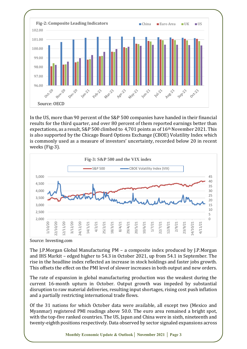

In the US, more than 90 percent of the S&P 500 companies have handed in their financial results for the third quarter, and over 80 percent of them reported earnings better than expectations, as a result, S&P 500 climbed to 4,701 points as of 16th November 2021. This is also supported by the Chicago Board Options Exchange (CBOE) Volatility Index which is commonly used as a measure of investors' uncertainty, recorded below 20 in recent weeks (Fig-3).



Source: Investing.com

The J.P.Morgan Global Manufacturing PM – a composite index produced by J.P.Morgan and IHS Markit – edged higher to 54.3 in October 2021, up from 54.1 in September. The rise in the headline index reflected an increase in stock holdings and faster jobs growth. This offsets the effect on the PMI level of slower increases in both output and new orders.

The rate of expansion in global manufacturing production was the weakest during the current 16-month upturn in October. Output growth was impeded by substantial disruption to raw material deliveries, resulting input shortages, rising cost push inflation and a partially restricting international trade flows.

Of the 31 nations for which October data were available, all except two (Mexico and Myanmar) registered PMI readings above 50.0. The euro area remained a bright spot, with the top-five ranked countries. The US, Japan and China were in sixth, nineteenth and twenty-eighth positions respectively. Data observed by sector signaled expansions across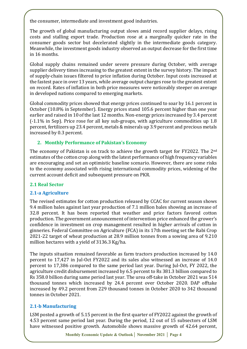the consumer, intermediate and investment good industries.

The growth of global manufacturing output slows amid record supplier delays, rising costs and stalling export trade. Production rose at a marginally quicker rate in the consumer goods sector but decelerated slightly in the intermediate goods category. Meanwhile, the investment goods industry observed an output decrease for the first time in 16 months.

Global supply chains remained under severe pressure during October, with average supplier delivery times increasing to the greatest extent in the survey history. The impact of supply-chain issues filtered to price inflation during October. Input costs increased at the fastest pace in over 13 years, while average output charges rose to the greatest extent on record. Rates of inflation in both price measures were noticeably steeper on average in developed nations compared to emerging markets.

Global commodity prices showed that energy prices continued to soar by 16.1 percent in October (10.8% in September). Energy prices stand 105.6 percent higher than one year earlier and raised in 10 of the last 12 months. Non-energy prices increased by 3.4 percent (-1.1% in Sep). Price rose for all key sub-groups, with agriculture commodities up 1.8 percent, fertilizers up 23.4 percent, metals & minerals up 3.9 percent and precious metals increased by 0.3 percent.

#### **2. Monthly Performance of Pakistan's Economy**

The economy of Pakistan is on track to achieve the growth target for FY2022. The 2<sup>nd</sup> estimates of the cotton crop along with the latest performance of high frequency variables are encouraging and set an optimistic baseline scenario. However, there are some risks to the economy associated with rising international commodity prices, widening of the current account deficit and subsequent pressure on PKR.

#### **2.1 Real Sector**

# **2.1-a Agriculture**

The revised estimates for cotton production released by CCAC for current season shows 9.4 million bales against last year production of 7.1 million bales showing an increase of 32.8 percent. It has been reported that weather and price factors favored cotton production. The government announcement of intervention price enhanced the grower's confidence in investment on crop management resulted in higher arrivals of cotton in ginneries. Federal Committee on Agriculture (FCA) in its 17th meeting set the Rabi Crop 2021-22 target of wheat production at 28.9 million tonnes from a sowing area of 9.210 million hectares with a yield of 3136.3 Kg/ha.

The inputs situation remained favorable as farm tractors production increased by 14.0 percent to 17,427 in Jul-Oct FY2022 and its sales also witnessed an increase of 14.0 percent to 17,386 compared to the same period last year. During Jul-Oct, FY 2022, the agriculture credit disbursement increased by 6.5 percent to Rs 381.3 billion compared to Rs 358.0 billion during same period last year. The urea off-take in October 2021 was 514 thousand tonnes which increased by 24.4 percent over October 2020. DAP offtake increased by 49.2 percent from 229 thousand tonnes in October 2020 to 342 thousand tonnes in October 2021.

# **2.1-b Manufacturing**

LSM posted a growth of 5.15 percent in the first quarter of FY2022 against the growth of 4.53 percent same period last year. During the period, 12 out of 15 subsectors of LSM have witnessed positive growth. Automobile shows massive growth of 42.64 percent,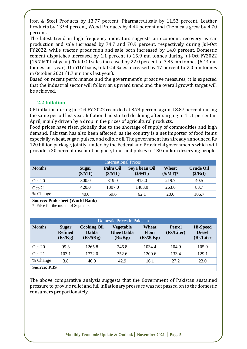Iron & Steel Products by 13.77 percent, Pharmaceuticals by 11.53 percent, Leather Products by 13.94 percent, Wood Products by 4.44 percent and Chemicals grew by 4.70 percent.

The latest trend in high frequency indicators suggests an economic recovery as car production and sale increased by 74.7 and 70.9 percent, respectively during Jul-Oct FY2022, while tractor production and sale both increased by 14.0 percent. Domestic cement dispatches increased by 1.1 percent to 15.9 mn tonnes during Jul-Oct FY2022 (15.7 MT last year). Total Oil sales increased by 22.0 percent to 7.85 mn tonnes (6.44 mn tonnes last year). On YOY basis, total Oil Sales increased by 17 percent to 2.0 mn tonnes in October 2021 (1.7 mn tons last year).

Based on recent performance and the government's proactive measures, it is expected that the industrial sector will follow an upward trend and the overall growth target will be achieved.

# **2.2 Inflation**

CPI inflation during Jul-Oct FY 2022 recorded at 8.74 percent against 8.87 percent during the same period last year. Inflation had started declining after surging to 11.1 percent in April, mainly driven by a drop in the prices of agricultural products.

Food prices have risen globally due to the shortage of supply of commodities and high demand. Pakistan has also been affected, as the country is a net importer of food items especially wheat, sugar, pulses, and edible oil. The government has already announced Rs 120 billion package, jointly funded by the Federal and Provincial governments which will provide a 30 percent discount on ghee, flour and pulses to 130 million deserving people.

| <b>International Prices</b>            |                         |                            |                          |                            |                              |  |
|----------------------------------------|-------------------------|----------------------------|--------------------------|----------------------------|------------------------------|--|
| <b>Months</b>                          | <b>Sugar</b><br>(\$/MT) | <b>Palm Oil</b><br>(\$/MT) | Soya bean Oil<br>(\$/MT) | Wheat<br>$(\frac{M}{T})^*$ | <b>Crude Oil</b><br>(\$/Brl) |  |
| $Oct-20$                               | 300.0                   | 819.0                      | 915.0                    | 219.7                      | 40.5                         |  |
| $Oct-21$                               | 420.0                   | 1307.0                     | 1483.0                   | 263.6                      | 83.7                         |  |
| % Change                               | 40.0                    | 59.6                       | 62.1                     | 20.0                       | 106.7                        |  |
| <b>Source: Pink sheet (World Bank)</b> |                         |                            |                          |                            |                              |  |

\*: Price for the month of September

| Domestic Prices in Pakistan |                                           |                                                |                                                  |                                    |                             |                                               |
|-----------------------------|-------------------------------------------|------------------------------------------------|--------------------------------------------------|------------------------------------|-----------------------------|-----------------------------------------------|
| <b>Months</b>               | <b>Sugar</b><br><b>Refined</b><br>(Rs/Kg) | <b>Cooking Oil</b><br><b>Dalda</b><br>(Rs/5Kg) | <b>Vegetable</b><br><b>Ghee Dalda</b><br>(Rs/Kg) | Wheat<br><b>Flour</b><br>(Rs/20Kg) | <b>Petrol</b><br>(Rs/Liter) | <b>Hi-Speed</b><br><b>Diesel</b><br>(Rs/Liter |
| $Oct-20$                    | 99.3                                      | 1265.8                                         | 246.8                                            | 1034.4                             | 104.9                       | 105.0                                         |
| $Oct-21$                    | 103.1                                     | 1772.0                                         | 352.6                                            | 1200.6                             | 133.4                       | 129.1                                         |
| % Change                    | 3.8                                       | 40.0                                           | 42.9                                             | 16.1                               | 27.2                        | 23.0                                          |
| <b>Source: PBS</b>          |                                           |                                                |                                                  |                                    |                             |                                               |

The above comparative analysis suggests that the Government of Pakistan sustained pressure to provide relief and full inflationary pressure was not passed on to the domestic consumers proportionately.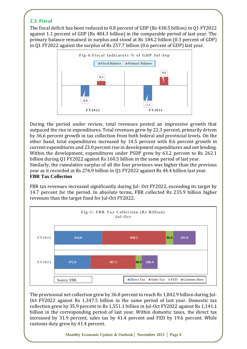# **2.3. Fiscal**

The fiscal deficit has been reduced to 0.8 percent of GDP (Rs 438.5 billion) in Q1 FY2022 against 1.1 percent of GDP (Rs 484.3 billion) in the comparable period of last year. The primary balance remained in surplus and stood at Rs 184.2 billion (0.3 percent of GDP) in Q1 FY2022 against the surplus of Rs 257.7 billion (0.6 percent of GDP) last year.



During the period under review, total revenues posted an impressive growth that outpaced the rise in expenditures. Total revenues grew by 22.3 percent, primarily driven by 36.6 percent growth in tax collection from both federal and provincial levels. On the other hand, total expenditures increased by 14.5 percent with 8.6 percent growth in current expenditures and 23.0 percent rise in development expenditures and net lending. Within the development, expenditures under PSDP grew by 63.2 percent to Rs 262.1 billion during Q1 FY2022 against Rs 160.5 billion in the same period of last year. Similarly, the cumulative surplus of all the four provinces was higher than the previous year as it recorded at Rs 276.9 billion in Q1 FY2022 against Rs 44.4 billion last year. **FBR Tax Collection**

FBR tax revenues increased significantly during Jul- Oct FY2022, exceeding its target by 14.7 percent for the period. In absolute terms, FBR collected Rs 235.9 billion higher revenues than the target fixed for Jul-Oct FY2022.



The provisional net collection grew by 36.8 percent to reach Rs 1,842.9 billion during Jul-Oct FY2022 against Rs 1,347.5 billion in the same period of last year. Domestic tax collection grew by 35.9 percent to Rs 1,551.1 billion in Jul-Oct FY2022 against Rs 1,141.1 billion in the corresponding period of last year. Within domestic taxes, the direct tax increased by 31.9 percent, sales tax by 41.4 percent and FED by 19.6 percent. While customs duty grew by 41.4 percent.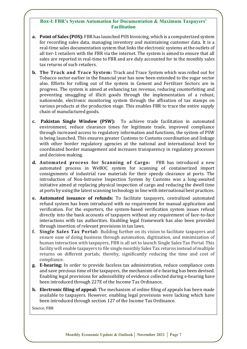#### **Box-I: FBR's System Automation for Documentation & Maximum Taxpayers' Facilitation**

- **a. Point of Sales (POS):** FBR has launched POS Invoicing, which is a computerized system for recording sales data, managing inventory and maintaining customer data. It is a real-time sales documentation system that links the electronic systems at the outlets of all tier-1 retailers with the FBR via the internet. The system is aimed to ensure that all sales are reported in real-time to FBR and are duly accounted for in the monthly sales tax returns of such retailers.
- **b. The Track and Trace System:** Track and Trace System which was rolled out for Tobacco sector earlier in the financial year has now been extended to the sugar sector also. Efforts for rolling out of the system in Cement and Fertilizer Sectors are in progress. The system is aimed at enhancing tax revenue, reducing counterfeiting and preventing smuggling of illicit goods through the implementation of a robust, nationwide, electronic monitoring system through the affixation of tax stamps on various products at the production stage. This enables FBR to trace the entire supply chain of manufactured goods.
- **c. Pakistan Single Window (PSW):** To achieve trade facilitation in automated environment, reduce clearance times for legitimate trade, improved compliance through increased access to regulatory information and functions, the system of PSW is being launched. This ensures greater Customs to Customs coordination and linkage with other border regulatory agencies at the national and international level for coordinated border management and increases transparency in regulatory processes and decision-making.
- **d. Automated process for Scanning of Cargo:** FBR has introduced a new automated process in WeBOC system for scanning of containerized import consignments of industrial raw materials for their speedy clearance at ports. The introduction of Non-Intrusive Inspection System by Customs was a long-awaited initiative aimed at replacing physical inspection of cargo and reducing the dwell time at ports by using the latest scanning technology in line with international best practices.
- **e. Automated issuance of refunds:** To facilitate taxpayers, centralized automated refund system has been introduced with no requirement for manual application and verification. For the exporters, the system-based verification system issues refund directly into the bank accounts of taxpayers without any requirement of face-to-face interactions with tax authorities. Enabling legal framework has also been provided through insertion of relevant provisions in tax laws.
- **f. Single Sales Tax Portal:** Building further on its vision to facilitate taxpayers and ensure ease of doing business through automation, digitization, and minimization of human interaction with taxpayers, FBR is all set to launch Single Sales Tax Portal. This facility will enable taxpayers to file single monthly Sales Tax returns instead of multiple returns on different portals; thereby, significantly reducing the time and cost of compliance.
- **g. E-hearing:** In order to provide faceless tax administration, reduce compliance costs and save precious time of the taxpayers, the mechanism of e-hearing has been devised. Enabling legal provisions for admissibility of evidence collected during e-hearing have been introduced through 227E of the Income Tax Ordinance.
- **h. Electronic filing of appeal:** The mechanism of online filing of appeals has been made available to taxpayers. However, enabling legal provisions were lacking which have been introduced through section 127 of the Income Tax Ordinance.

Source: FBR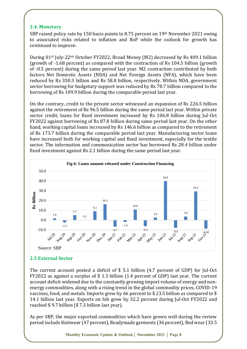#### **2.4. Monetary**

SBP raised policy rate by 150 basis points to 8.75 percent on 19th November 2021 owing to associated risks related to inflation and BoP while the outlook for growth has continued to improve.

During 01st July-22nd October FY2022, Broad Money (M2) decreased by Rs 409.1 billion (growth of -1.68 percent) as compared with the contraction of Rs 104.5 billion (growth of -0.5 percent) during the same period last year. M2 contraction contributed by both factors Net Domestic Assets (NDA) and Net Foreign Assets (NFA), which have been reduced by Rs 350.3 billion and Rs 58.8 billion, respectively. Within NDA, government sector borrowing for budgetary support was reduced by Rs 78.7 billion compared to the borrowing of Rs 109.9 billion during the comparable period last year.

On the contrary, credit to the private sector witnessed an expansion of Rs 226.5 billion against the retirement of Rs 96.5 billion during the same period last year. Within private sector credit, loans for fixed investment increased by Rs 106.8 billion during Jul-Oct FY2022 against borrowing of Rs 87.8 billion during same period last year. On the other hand, working capital loans increased by Rs 146.6 billion as compared to the retirement of Rs 173.7 billion during the comparable period last year. Manufacturing sector loans have increased both for working capital and fixed investment, especially for the textile sector. The information and communication sector has borrowed Rs 28.4 billion under fixed investment against Rs 2.1 billion during the same period last year.



# **2.5 External Sector**

The current account posted a deficit of \$ 5.1 billion (4.7 percent of GDP) for Jul-Oct FY2022 as against a surplus of \$ 1.3 billion (1.4 percent of GDP) last year. The current account deficit widened due to the constantly growing import volume of energy and nonenergy commodities, along with a rising trend in the global commodity prices, COVID-19 vaccines, food, and metals. Imports grew by 66 percent to \$ 23.5 billion as compared to \$ 14.1 billion last year. Exports on fob grew by 32.2 percent during Jul-Oct FY2022 and reached \$ 9.7 billion (\$ 7.3 billion last year).

As per SBP, the major exported commodities which have grown well during the review period include Knitwear (47 percent), Readymade garments (36 percent), Bed wear (33.5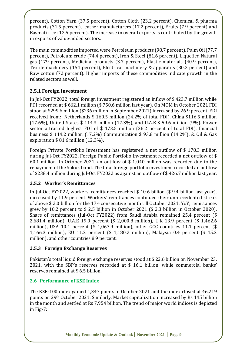percent), Cotton Yarn (37.5 percent), Cotton Cloth (23.2 percent), Chemical & pharma products (31.5 percent), leather manufacturers (17.2 percent), Fruits (7.9 percent) and Basmati rice (12.5 percent). The increase in overall exports is contributed by the growth in exports of value-added sectors.

The main commodities imported were Petroleum products (98.7 percent), Palm Oil (77.7 percent), Petroleum crude (74.4 percent), Iron & Steel (81.6 percent), Liquefied Natural gas (179 percent), Medicinal products (3.7 percent), Plastic materials (40.9 percent), Textile machinery (154 percent), Electrical machinery & apparatus (30.2 percent) and Raw cotton (72 percent). Higher imports of these commodities indicate growth in the related sectors as well.

# **2.5.1 Foreign Investment**

In Jul-Oct FY2022, total foreign investment registered an inflow of \$ 423.7 million while FDI recorded at \$ 662.1 million (\$ 750.6 million last year). On MOM in October 2021 FDI stood at \$299.6 million (\$236 million in September 2021) increased by 26.9 percent. FDI received from: Netherlands \$ 160.5 million (24.2% of total FDI), China \$116.5 million (17.6%), United States \$ 114.3 million (17.3%), and U.A.E \$ 59.6 million (9%). Power sector attracted highest FDI of \$ 173.5 million (26.2 percent of total FDI), financial business \$ 114.2 million (17.2%) Communication \$ 93.8 million (14.2%), & Oil & Gas exploration \$ 81.6 million (12.3%).

Foreign Private Portfolio Investment has registered a net outflow of \$ 178.3 million during Jul-Oct FY2022. Foreign Public Portfolio Investment recorded a net outflow of \$ 60.1 million. In October 2021, an outflow of \$ 1,040 million was recorded due to the repayment of the Sukuk bond. The total foreign portfolio investment recorded an outflow of \$238.4 million during Jul-Oct FY2022 as against an outflow of \$ 426.7 million last year.

# **2.5.2 Worker's Remittances**

In Jul-Oct FY2022, workers' remittances reached \$ 10.6 billion (\$ 9.4 billion last year), increased by 11.9 percent. Workers' remittances continued their unprecedented streak of above \$ 2.0 billion for the  $17<sup>th</sup>$  consecutive month till October 2021. YoY, remittances grew by 10.2 percent to \$ 2.5 billion in October 2021 (\$ 2.3 billion in October 2020). Share of remittances (Jul-Oct FY2022) from Saudi Arabia remained 25.4 percent (\$ 2,681.4 million), U.A.E 19.0 percent (\$ 2,000.8 million), U.K 13.9 percent (\$ 1,462.6 million), USA 10.1 percent (\$ 1,067.9 million), other GCC countries 11.1 percent (\$ 1,166.3 million), EU 11.2 percent (\$ 1,180.2 million), Malaysia 0.4 percent (\$ 45.2 million), and other countries 8.9 percent.

# **2.5.3 Foreign Exchange Reserves**

Pakistan's total liquid foreign exchange reserves stood at \$ 22.6 billion on November 23, 2021, with the SBP's reserves recorded at \$ 16.1 billion, while commercial banks' reserves remained at \$ 6.5 billion.

# **2.6 Performance of KSE Index**

The KSE-100 index gained 1,347 points in October 2021 and the index closed at 46,219 points on 29th October 2021. Similarly, Market capitalization increased by Rs 145 billion in the month and settled at Rs 7,954 billion. The trend of major world indices is depicted in Fig-7: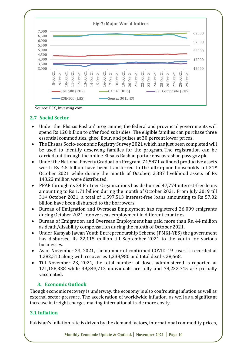

# **2.7 Social Sector**

- Under the 'Ehsaas Rashan' programme, the federal and provincial governments will spend Rs 120 billion to offer food subsidies. The eligible families can purchase three essential commodities, ghee, flour, and pulses at 30 percent lower prices.
- The Ehsaas Socio-economic Registry Survey 2021 which has just been completed will be used to identify deserving families for the program. The registration can be carried out through the online Ehsaas Rashan portal: ehsaasrashan.pass.gov.pk.
- Under the National Poverty Graduation Program, 74,547 livelihood productive assets worth Rs 4.5 billion have been transferred to the ultra-poor households till 31st October 2021 while during the month of October, 2,387 livelihood assets of Rs 143.22 million were distributed.
- PPAF through its 24 Partner Organizations has disbursed 47,774 interest-free loans amounting to Rs 1.71 billion during the month of October 2021. From July 2019 till 31st October 2021, a total of 1,597,513 interest-free loans amounting to Rs 57.02 billion have been disbursed to the borrowers.
- Bureau of Emigration and Overseas Employment has registered 26,099 emigrants during October 2021 for overseas employment in different countries.
- Bureau of Emigration and Overseas Employment has paid more than Rs. 44 million as death/disability compensation during the month of October 2021.
- Under Kamyab Jawan Youth Entrepreneurship Scheme (PMKJ-YES) the government has disbursed Rs 22,115 million till September 2021 to the youth for various businesses.
- As of November 23, 2021, the number of confirmed COVID-19 cases is recorded at 1,282,510 along with recoveries 1,238,980 and total deaths 28,668.
- Till November 23, 2021, the total number of doses administered is reported at 121,158,338 while 49,343,712 individuals are fully and 79,232,745 are partially vaccinated.

#### **3. Economic Outlook**

Though economic recovery is underway, the economy is also confronting inflation as well as external sector pressure. The acceleration of worldwide inflation, as well as a significant increase in freight charges making international trade more costly.

# **3.1 Inflation**

Pakistan's inflation rate is driven by the demand factors, international commodity prices,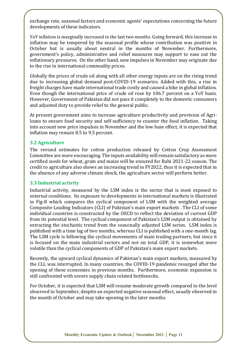exchange rate, seasonal factors and economic agents' expectations concerning the future developments of these indicators.

YoY inflation is marginally increased in the last two months. Going forward, this increase in inflation may be tempered by the seasonal profile whose contribution was positive in October but is usually about neutral in the months of November. Furthermore, government's policy, administrative and relief measures may support to ease out the inflationary pressures. On the other hand, new impulses in November may originate due to the rise in international commodity prices.

Globally the prices of crude oil along with all other energy inputs are on the rising trend due to increasing global demand post-COVID-19 scenarios. Added with this, a rise in freight charges have made international trade costly and caused a hike in global inflation. Even though the international price of crude oil rose by 106.7 percent on a YoY basis. However, Government of Pakistan did not pass it completely to the domestic consumers and adjusted duty to provide relief to the general public.

At present government aims to increase agriculture productivity and provision of Agriloans to ensure food security and self-sufficiency to counter the food inflation. Taking into account new price impulses in November and the low base effect, it is expected that inflation may remain 8.5 to 9.5 percent.

#### **3.2 Agriculture**

The revised estimates for cotton production released by Cotton Crop Assessment Committee are more encouraging. The inputs availability will remain satisfactory as more certified seeds for wheat, gram and maize will be ensured for Rabi 2021-22 season. The credit to agriculture also shows an increasing trend in FY2022, thus it is expected that in the absence of any adverse climate shock, the agriculture sector will perform better.

#### **3.3 Industrial activity**

Industrial activity, measured by the LSM index is the sector that is most exposed to external conditions. Its exposure to developments in international markets is illustrated in Fig-8 which compares the cyclical component of LSM with the weighted average Composite Leading Indicators (CLI) of Pakistan's main export markets . The CLI of some individual countries is constructed by the OECD to reflect the deviation of current GDP from its potential level. The cyclical component of Pakistan's LSM output is obtained by extracting the stochastic trend from the seasonally adjusted LSM series. LSM index is published with a time lag of two months, whereas CLI is published with a one-month lag. The LSM cycle is following the cyclical movements of main trading partners, but since it is focused on the main industrial sectors and not on total GDP, it is somewhat more volatile than the cyclical components of GDP of Pakistan's main export markets.

Recently, the upward cyclical dynamics of Pakistan's main export markets, measured by the CLI, was interrupted. In many countries, the COVID-19 pandemic resurged after the opening of these economies in previous months. Furthermore, economic expansion is still confronted with severe supply chain related bottlenecks.

For October, it is expected that LSM will resume moderate growth compared to the level observed in September, despite an expected negative seasonal effect, usually observed in the month of October and may take upswing in the later months.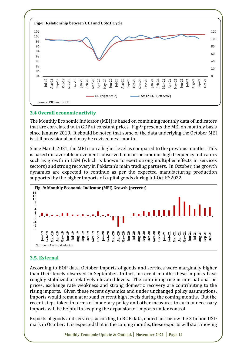

# **3.4 Overall economic activity**

The Monthly Economic Indicator (MEI) is based on combining monthly data of indicators that are correlated with GDP at constant prices. Fig-9 presents the MEI on monthly basis since January 2019. It should be noted that some of the data underlying the October MEI is still provisional and may be revised next month.

Since March 2021, the MEI is on a higher level as compared to the previous months. This is based on favorable movements observed in macroeconomic high frequency indicators such as growth in LSM (which is known to exert strong multiplier effects in services sectors) and strong recovery in Pakistan's main trading partners. In October, the growth dynamics are expected to continue as per the expected manufacturing production supported by the higher imports of capital goods during Jul-Oct FY2022.



# **3.5. External**

According to BOP data, October imports of goods and services were marginally higher than their levels observed in September. In fact, in recent months these imports have roughly stabilized at relatively elevated levels. The continuing rise in international oil prices, exchange rate weakness and strong domestic recovery are contributing to the rising imports. Given these recent dynamics and under unchanged policy assumptions, imports would remain at around current high levels during the coming months. But the recent steps taken in terms of monetary policy and other measures to curb unnecessary imports will be helpful in keeping the expansion of imports under control.

Exports of goods and services, according to BOP data, ended just below the 3 billion USD mark in October. It is expected that in the coming months, these exports will start moving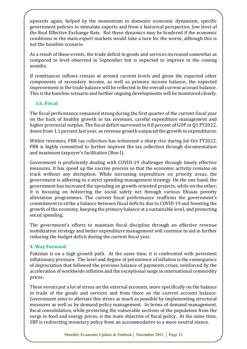upwards again, helped by the momentum in domestic economic dynamism, specific government policies to stimulate exports and from a historical perspective, low level of the Real Effective Exchange Rate. But these dynamics may be hindered if the economic conditions in the main export markets would take a turn for the worse, although this is not the baseline scenario.

As a result of these events, the trade deficit in goods and services increased somewhat as compared to level observed in September but is expected to improve in the coming months.

If remittances inflows remain at around current levels and given the expected other components of secondary income, as well as primary income balance, the expected improvement in the trade balance will be reflected in the overall current account balance. This is the baseline scenario and further ongoing developments will be monitored closely.

#### **3.6. Fiscal**

The fiscal performance remained strong during the first quarter of the current fiscal year on the back of healthy growth in tax revenues, careful expenditure management and higher provincial surplus. The fiscal deficit narrowed to 0.8 percent of GDP in Q1 FY2022, down from 1.1 percent last year, as revenue growth outpaced the growth in expenditures.

Within revenues, FBR tax collection has witnessed a sharp rise during Jul-Oct FY2022. FBR is highly committed to further improve the tax collection through documentation and maximum taxpayer's facilitation (Box-I).

Government is proficiently dealing with COVID-19 challenges through timely effective measures. It has speed up the vaccine process so that the economic activity remains on track without any disruption. While increasing expenditure on priority areas, the government is adhering to a strict spending management strategy. On the one hand, the government has increased the spending on growth-oriented projects, while on the other; it is focusing on bolstering the social safety net through various Ehsaas poverty alleviation programmes. The current fiscal performance reaffirms the government's commitment to strike a balance between fiscal deficits due to COVID 19 and boosting the growth of the economy, keeping the primary balance at a sustainable level, and protecting social spending.

The government's efforts to maintain fiscal discipline through an effective revenue mobilization strategy and better expenditure management will continue to aid in further reducing the budget deficit during the current fiscal year.

#### **4. Way Forward**

Pakistan is on a high growth path. At the same time, it is confronted with persistent inflationary pressure. The level and degree of persistence of inflation is the consequence of depreciation that followed the previous balance of payments crises, reinforced by the acceleration of worldwide inflation and the exceptional surge in international commodity prices.

These events put a lot of stress on the external accounts, more specifically on the balance in trade of the goods and services and from there on the current account balance. Government aims to alleviate this stress as much as possible by implementing structural measures as well as by demand policy management. In terms of demand management, fiscal consolidation, while protecting the vulnerable sections of the population from the surge in food and energy prices, is the main objective of fiscal policy. At the same time, SBP is redirecting monetary policy from an accommodative to a more neutral stance.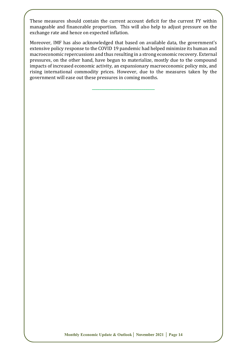These measures should contain the current account deficit for the current FY within manageable and financeable proportion. This will also help to adjust pressure on the exchange rate and hence on expected inflation.

Moreover, IMF has also acknowledged that based on available data, the government's extensive policy response to the COVID 19 pandemic had helped minimize its human and macroeconomic repercussions and thus resulting in a strong economic recovery. External pressures, on the other hand, have begun to materialize, mostly due to the compound impacts of increased economic activity, an expansionary macroeconomic policy mix, and rising international commodity prices. However, due to the measures taken by the government will ease out these pressures in coming months.

**\_\_\_\_\_\_\_\_\_\_\_\_\_\_\_\_\_\_\_\_\_\_\_\_\_\_\_\_\_\_\_\_\_\_**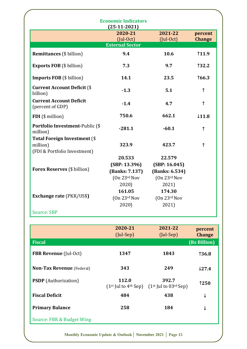| <b>Economic Indicators</b>                                                      |                                              |                                              |                          |  |  |
|---------------------------------------------------------------------------------|----------------------------------------------|----------------------------------------------|--------------------------|--|--|
|                                                                                 | $(25-11-2021)$<br>2020-21<br>$($ Jul-Oct $)$ | 2021-22<br>$($ Jul-Oct $)$                   | percent<br><b>Change</b> |  |  |
|                                                                                 | <b>External Sector</b>                       |                                              |                          |  |  |
| <b>Remittances</b> (\$ billion)                                                 | 9.4                                          | 10.6                                         | 11.9                     |  |  |
| <b>Exports FOB</b> (\$ billion)                                                 | 7.3                                          | 9.7                                          | 132.2                    |  |  |
| <b>Imports FOB</b> (\$ billion)                                                 | 14.1                                         | 23.5                                         | <b>166.3</b>             |  |  |
| <b>Current Account Deficit (\$</b><br>billion)                                  | $-1.3$                                       | 5.1                                          | ↑                        |  |  |
| <b>Current Account Deficit</b><br>(percent of GDP)                              | $-1.4$                                       | 4.7                                          | $\uparrow$               |  |  |
| FDI (\$ million)                                                                | 750.6                                        | 662.1                                        | $\downarrow$ 11.8        |  |  |
| Portfolio Investment-Public (\$<br>million)                                     | $-281.1$                                     | $-60.1$                                      | $\uparrow$               |  |  |
| <b>Total Foreign Investment (\$</b><br>million)<br>(FDI & Portfolio Investment) | 323.9                                        | 423.7                                        | $\uparrow$               |  |  |
| <b>Forex Reserves</b> (\$ billion)                                              | 20.533<br>(SBP: 13.396)<br>(Banks: 7.137)    | 22.579<br>(SBP: 16.045)<br>(Banks: 6.534)    |                          |  |  |
|                                                                                 | (On 23 <sup>rd</sup> Nov)<br>2020)           | (On 23 <sup>rd</sup> Nov)<br>2021)           |                          |  |  |
| <b>Exchange rate (PKR/US\$)</b>                                                 | 161.05<br>(0n 23 <sup>rd</sup> Nov)<br>2020) | 174.30<br>(0n 23 <sup>rd</sup> Nov)<br>2021) |                          |  |  |
| <b>Source: SBP</b>                                                              |                                              |                                              |                          |  |  |

|                                  | 2020-21<br>(JulSep)               | 2021-22<br>$(Jul-Sep)$             | percent<br><b>Change</b> |
|----------------------------------|-----------------------------------|------------------------------------|--------------------------|
| <b>Fiscal</b>                    |                                   |                                    | (Rs Billion)             |
| <b>FBR Revenue</b> (Jul-Oct)     | 1347                              | 1843                               | <b>136.8</b>             |
| <b>Non-Tax Revenue</b> (Federal) | 343                               | 249                                | $\downarrow$ 27.4        |
| <b>PSDP</b> (Authorization)      | 112.0<br>$(1st$ Jul to $4th$ Sep) | 392.7<br>$(1st$ Jul to $03rd$ Sep) | 1250                     |
| <b>Fiscal Deficit</b>            | 484                               | 438                                | ↓                        |
| <b>Primary Balance</b>           | 258                               | 184                                | ↓                        |
| Source: FBR & Budget Wing        |                                   |                                    |                          |